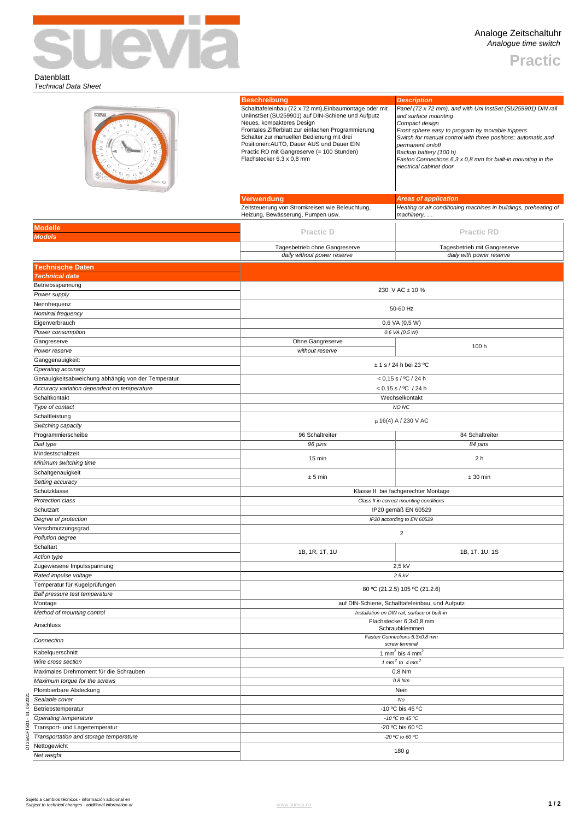

**Practic**

## Datenblatt *Technical Data Sheet*

| suevia<br><b>Modelle</b><br><b>Models</b>                    | <b>Beschreibung</b><br>Schalttafeleinbau (72 x 72 mm), Einbaumontage oder mit<br>UniInstSet (SU259901) auf DIN-Schiene und Aufputz<br>Neues, kompakteres Design<br>Frontales Zifferblatt zur einfachen Programmierung<br>Schalter zur manuellen Bedienung mit drei<br>Positionen: AUTO, Dauer AUS und Dauer EIN<br>Practic RD mit Gangreserve (= 100 Stunden)<br>Flachstecker 6,3 x 0,8 mm<br>Verwendung<br>Zeitsteuerung von Stromkreisen wie Beleuchtung,<br>Heizung, Bewässerung, Pumpen usw.<br><b>Practic D</b> | <b>Description</b><br>Panel (72 x 72 mm), and with Uni InstSet (SU259901) DIN rail<br>and surface mounting<br>Compact design<br>Front sphere easy to program by movable trippers<br>Switch for manual control with three positions: automatic, and<br>permanent on/off<br>Backup battery (100 h)<br>Faston Connections 6,3 x 0,8 mm for built-in mounting in the<br>electrical cabinet door<br><b>Areas of application</b><br>Heating or air conditioning machines in buildings, preheating of<br>machinery,<br><b>Practic RD</b> |  |  |  |
|--------------------------------------------------------------|----------------------------------------------------------------------------------------------------------------------------------------------------------------------------------------------------------------------------------------------------------------------------------------------------------------------------------------------------------------------------------------------------------------------------------------------------------------------------------------------------------------------|-----------------------------------------------------------------------------------------------------------------------------------------------------------------------------------------------------------------------------------------------------------------------------------------------------------------------------------------------------------------------------------------------------------------------------------------------------------------------------------------------------------------------------------|--|--|--|
| <b>Technische Daten</b>                                      | Tagesbetrieb ohne Gangreserve<br>daily without power reserve                                                                                                                                                                                                                                                                                                                                                                                                                                                         | Tagesbetrieb mit Gangreserve<br>daily with power reserve                                                                                                                                                                                                                                                                                                                                                                                                                                                                          |  |  |  |
| <b>Technical data</b>                                        |                                                                                                                                                                                                                                                                                                                                                                                                                                                                                                                      |                                                                                                                                                                                                                                                                                                                                                                                                                                                                                                                                   |  |  |  |
| Betriebsspannung                                             |                                                                                                                                                                                                                                                                                                                                                                                                                                                                                                                      | 230 V AC ± 10 %                                                                                                                                                                                                                                                                                                                                                                                                                                                                                                                   |  |  |  |
| Power supply<br>Nennfrequenz                                 |                                                                                                                                                                                                                                                                                                                                                                                                                                                                                                                      |                                                                                                                                                                                                                                                                                                                                                                                                                                                                                                                                   |  |  |  |
| Nominal frequency                                            | 50-60 Hz                                                                                                                                                                                                                                                                                                                                                                                                                                                                                                             |                                                                                                                                                                                                                                                                                                                                                                                                                                                                                                                                   |  |  |  |
| Eigenverbrauch                                               | 0,6 VA (0,5 W)                                                                                                                                                                                                                                                                                                                                                                                                                                                                                                       |                                                                                                                                                                                                                                                                                                                                                                                                                                                                                                                                   |  |  |  |
| Power consumption                                            |                                                                                                                                                                                                                                                                                                                                                                                                                                                                                                                      | 0.6 VA (0.5 W)                                                                                                                                                                                                                                                                                                                                                                                                                                                                                                                    |  |  |  |
| Gangreserve<br>Power reserve                                 | Ohne Gangreserve<br>without reserve                                                                                                                                                                                                                                                                                                                                                                                                                                                                                  | 100 h                                                                                                                                                                                                                                                                                                                                                                                                                                                                                                                             |  |  |  |
| Ganggenauigkeit:                                             |                                                                                                                                                                                                                                                                                                                                                                                                                                                                                                                      |                                                                                                                                                                                                                                                                                                                                                                                                                                                                                                                                   |  |  |  |
| Operating accuracy                                           | $± 1$ s / 24 h bei 23 °C                                                                                                                                                                                                                                                                                                                                                                                                                                                                                             |                                                                                                                                                                                                                                                                                                                                                                                                                                                                                                                                   |  |  |  |
| Genauigkeitsabweichung abhängig von der Temperatur           | $< 0.15$ s / °C / 24 h                                                                                                                                                                                                                                                                                                                                                                                                                                                                                               |                                                                                                                                                                                                                                                                                                                                                                                                                                                                                                                                   |  |  |  |
| Accuracy variation dependent on temperature<br>Schaltkontakt | < 0.15 s / °C / 24 h<br>Wechselkontakt                                                                                                                                                                                                                                                                                                                                                                                                                                                                               |                                                                                                                                                                                                                                                                                                                                                                                                                                                                                                                                   |  |  |  |
| Type of contact                                              | NO <sub>NC</sub>                                                                                                                                                                                                                                                                                                                                                                                                                                                                                                     |                                                                                                                                                                                                                                                                                                                                                                                                                                                                                                                                   |  |  |  |
| Schaltleistung                                               | $\mu$ 16(4) A / 230 V AC                                                                                                                                                                                                                                                                                                                                                                                                                                                                                             |                                                                                                                                                                                                                                                                                                                                                                                                                                                                                                                                   |  |  |  |
| Switching capacity                                           |                                                                                                                                                                                                                                                                                                                                                                                                                                                                                                                      |                                                                                                                                                                                                                                                                                                                                                                                                                                                                                                                                   |  |  |  |
| Programmierscheibe<br>Dial type                              | 96 Schaltreiter<br>96 pins                                                                                                                                                                                                                                                                                                                                                                                                                                                                                           | 84 Schaltreiter<br>84 pins                                                                                                                                                                                                                                                                                                                                                                                                                                                                                                        |  |  |  |
| Mindestschaltzeit                                            |                                                                                                                                                                                                                                                                                                                                                                                                                                                                                                                      |                                                                                                                                                                                                                                                                                                                                                                                                                                                                                                                                   |  |  |  |
| Minimum switching time                                       | 15 min                                                                                                                                                                                                                                                                                                                                                                                                                                                                                                               | 2 <sub>h</sub>                                                                                                                                                                                                                                                                                                                                                                                                                                                                                                                    |  |  |  |
| Schaltgenauigkeit<br>Setting accuracy                        | ± 5 min                                                                                                                                                                                                                                                                                                                                                                                                                                                                                                              | $± 30$ min                                                                                                                                                                                                                                                                                                                                                                                                                                                                                                                        |  |  |  |
|                                                              | Klasse II bei fachgerechter Montage                                                                                                                                                                                                                                                                                                                                                                                                                                                                                  |                                                                                                                                                                                                                                                                                                                                                                                                                                                                                                                                   |  |  |  |
| Schutzklasse                                                 |                                                                                                                                                                                                                                                                                                                                                                                                                                                                                                                      |                                                                                                                                                                                                                                                                                                                                                                                                                                                                                                                                   |  |  |  |
| <b>Protection class</b>                                      |                                                                                                                                                                                                                                                                                                                                                                                                                                                                                                                      | Class II in correct mounting conditions                                                                                                                                                                                                                                                                                                                                                                                                                                                                                           |  |  |  |
| Schutzart                                                    |                                                                                                                                                                                                                                                                                                                                                                                                                                                                                                                      | IP20 gemäß EN 60529                                                                                                                                                                                                                                                                                                                                                                                                                                                                                                               |  |  |  |
| Degree of protection                                         |                                                                                                                                                                                                                                                                                                                                                                                                                                                                                                                      | IP20 according to EN 60529                                                                                                                                                                                                                                                                                                                                                                                                                                                                                                        |  |  |  |
| Verschmutzungsgrad                                           |                                                                                                                                                                                                                                                                                                                                                                                                                                                                                                                      | $\overline{2}$                                                                                                                                                                                                                                                                                                                                                                                                                                                                                                                    |  |  |  |
| Pollution degree<br>Schaltart                                |                                                                                                                                                                                                                                                                                                                                                                                                                                                                                                                      |                                                                                                                                                                                                                                                                                                                                                                                                                                                                                                                                   |  |  |  |
| Action type                                                  | 1B, 1R, 1T, 1U                                                                                                                                                                                                                                                                                                                                                                                                                                                                                                       | 1B, 1T, 1U, 1S                                                                                                                                                                                                                                                                                                                                                                                                                                                                                                                    |  |  |  |
| Zugewiesene Impulsspannung                                   |                                                                                                                                                                                                                                                                                                                                                                                                                                                                                                                      | 2,5 kV                                                                                                                                                                                                                                                                                                                                                                                                                                                                                                                            |  |  |  |
| Rated impulse voltage<br>Temperatur für Kugelprüfungen       |                                                                                                                                                                                                                                                                                                                                                                                                                                                                                                                      | $2.5$ kV                                                                                                                                                                                                                                                                                                                                                                                                                                                                                                                          |  |  |  |
| Ball pressure test temperature                               |                                                                                                                                                                                                                                                                                                                                                                                                                                                                                                                      | 80 °C (21.2.5) 105 °C (21.2.6)                                                                                                                                                                                                                                                                                                                                                                                                                                                                                                    |  |  |  |
| Montage                                                      |                                                                                                                                                                                                                                                                                                                                                                                                                                                                                                                      | auf DIN-Schiene, Schalttafeleinbau, und Aufputz                                                                                                                                                                                                                                                                                                                                                                                                                                                                                   |  |  |  |
| Method of mounting control                                   |                                                                                                                                                                                                                                                                                                                                                                                                                                                                                                                      | Installation on DIN rail, surface or built-in                                                                                                                                                                                                                                                                                                                                                                                                                                                                                     |  |  |  |
| Anschluss                                                    |                                                                                                                                                                                                                                                                                                                                                                                                                                                                                                                      | Flachstecker 6,3x0,8 mm<br>Schraubklemmen                                                                                                                                                                                                                                                                                                                                                                                                                                                                                         |  |  |  |
| Connection                                                   |                                                                                                                                                                                                                                                                                                                                                                                                                                                                                                                      | Faston Connections 6.3x0.8 mm                                                                                                                                                                                                                                                                                                                                                                                                                                                                                                     |  |  |  |
| Kabelquerschnitt                                             |                                                                                                                                                                                                                                                                                                                                                                                                                                                                                                                      | screw terminal<br>1 mm <sup>2</sup> bis 4 mm <sup>2</sup>                                                                                                                                                                                                                                                                                                                                                                                                                                                                         |  |  |  |
| Wire cross section                                           |                                                                                                                                                                                                                                                                                                                                                                                                                                                                                                                      | 1 mm <sup>2</sup> to 4 mm <sup>2</sup>                                                                                                                                                                                                                                                                                                                                                                                                                                                                                            |  |  |  |
| Maximales Drehmoment für die Schrauben                       |                                                                                                                                                                                                                                                                                                                                                                                                                                                                                                                      | 0,8 Nm                                                                                                                                                                                                                                                                                                                                                                                                                                                                                                                            |  |  |  |
| Maximum torque for the screws                                |                                                                                                                                                                                                                                                                                                                                                                                                                                                                                                                      | 0.8 Nm<br>Nein                                                                                                                                                                                                                                                                                                                                                                                                                                                                                                                    |  |  |  |
| Plombierbare Abdeckung<br>Sealable cover                     |                                                                                                                                                                                                                                                                                                                                                                                                                                                                                                                      | No                                                                                                                                                                                                                                                                                                                                                                                                                                                                                                                                |  |  |  |
| 05/202<br>Betriebstemperatur                                 |                                                                                                                                                                                                                                                                                                                                                                                                                                                                                                                      | -10 °C bis 45 °C                                                                                                                                                                                                                                                                                                                                                                                                                                                                                                                  |  |  |  |
| Operating temperature                                        |                                                                                                                                                                                                                                                                                                                                                                                                                                                                                                                      | -10 °C to 45 °C                                                                                                                                                                                                                                                                                                                                                                                                                                                                                                                   |  |  |  |
| Transport- und Lagertemperatur                               |                                                                                                                                                                                                                                                                                                                                                                                                                                                                                                                      | -20 °C bis 60 °C                                                                                                                                                                                                                                                                                                                                                                                                                                                                                                                  |  |  |  |
| Transportation and storage temperature<br>Nettogewicht       |                                                                                                                                                                                                                                                                                                                                                                                                                                                                                                                      | -20 °C to 60 °C<br>180 g                                                                                                                                                                                                                                                                                                                                                                                                                                                                                                          |  |  |  |